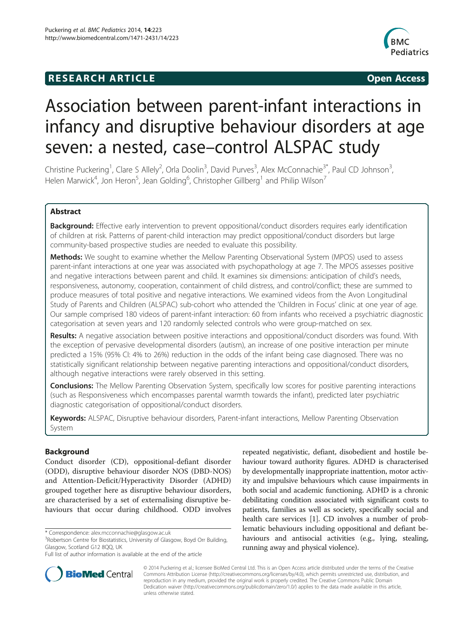## **RESEARCH ARTICLE Example 2014 CONSIDERING CONSIDERING CONSIDERING CONSIDERING CONSIDERING CONSIDERING CONSIDERING CONSIDERING CONSIDERING CONSIDERING CONSIDERING CONSIDERING CONSIDERING CONSIDERING CONSIDERING CONSIDE**



# Association between parent-infant interactions in infancy and disruptive behaviour disorders at age seven: a nested, case–control ALSPAC study

Christine Puckering<sup>1</sup>, Clare S Allely<sup>2</sup>, Orla Doolin<sup>3</sup>, David Purves<sup>3</sup>, Alex McConnachie<sup>3\*</sup>, Paul CD Johnson<sup>3</sup> , Helen Marwick $^4$ , Jon Heron $^5$ , Jean Golding $^6$ , Christopher Gillberg $^1$  and Philip Wilson $^7$ 

## Abstract

Background: Effective early intervention to prevent oppositional/conduct disorders requires early identification of children at risk. Patterns of parent-child interaction may predict oppositional/conduct disorders but large community-based prospective studies are needed to evaluate this possibility.

Methods: We sought to examine whether the Mellow Parenting Observational System (MPOS) used to assess parent-infant interactions at one year was associated with psychopathology at age 7. The MPOS assesses positive and negative interactions between parent and child. It examines six dimensions: anticipation of child's needs, responsiveness, autonomy, cooperation, containment of child distress, and control/conflict; these are summed to produce measures of total positive and negative interactions. We examined videos from the Avon Longitudinal Study of Parents and Children (ALSPAC) sub-cohort who attended the 'Children in Focus' clinic at one year of age. Our sample comprised 180 videos of parent-infant interaction: 60 from infants who received a psychiatric diagnostic categorisation at seven years and 120 randomly selected controls who were group-matched on sex.

Results: A negative association between positive interactions and oppositional/conduct disorders was found. With the exception of pervasive developmental disorders (autism), an increase of one positive interaction per minute predicted a 15% (95% CI: 4% to 26%) reduction in the odds of the infant being case diagnosed. There was no statistically significant relationship between negative parenting interactions and oppositional/conduct disorders, although negative interactions were rarely observed in this setting.

**Conclusions:** The Mellow Parenting Observation System, specifically low scores for positive parenting interactions (such as Responsiveness which encompasses parental warmth towards the infant), predicted later psychiatric diagnostic categorisation of oppositional/conduct disorders.

Keywords: ALSPAC, Disruptive behaviour disorders, Parent-infant interactions, Mellow Parenting Observation System

## Background

Conduct disorder (CD), oppositional-defiant disorder (ODD), disruptive behaviour disorder NOS (DBD-NOS) and Attention-Deficit/Hyperactivity Disorder (ADHD) grouped together here as disruptive behaviour disorders, are characterised by a set of externalising disruptive behaviours that occur during childhood. ODD involves

repeated negativistic, defiant, disobedient and hostile behaviour toward authority figures. ADHD is characterised by developmentally inappropriate inattention, motor activity and impulsive behaviours which cause impairments in both social and academic functioning. ADHD is a chronic debilitating condition associated with significant costs to patients, families as well as society, specifically social and health care services [\[1](#page-7-0)]. CD involves a number of problematic behaviours including oppositional and defiant behaviours and antisocial activities (e.g., lying, stealing, running away and physical violence).



© 2014 Puckering et al.; licensee BioMed Central Ltd. This is an Open Access article distributed under the terms of the Creative Commons Attribution License [\(http://creativecommons.org/licenses/by/4.0\)](http://creativecommons.org/licenses/by/4.0), which permits unrestricted use, distribution, and reproduction in any medium, provided the original work is properly credited. The Creative Commons Public Domain Dedication waiver [\(http://creativecommons.org/publicdomain/zero/1.0/](http://creativecommons.org/publicdomain/zero/1.0/)) applies to the data made available in this article, unless otherwise stated.

<sup>\*</sup> Correspondence: [alex.mcconnachie@glasgow.ac.uk](mailto:alex.mcconnachie@glasgow.ac.uk) <sup>3</sup>

<sup>&</sup>lt;sup>3</sup>Robertson Centre for Biostatistics, University of Glasgow, Boyd Orr Building, Glasgow, Scotland G12 8QQ, UK

Full list of author information is available at the end of the article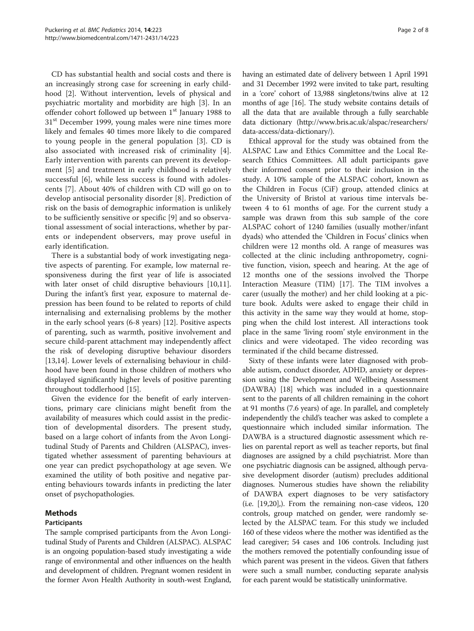CD has substantial health and social costs and there is an increasingly strong case for screening in early childhood [[2\]](#page-7-0). Without intervention, levels of physical and psychiatric mortality and morbidity are high [[3\]](#page-7-0). In an offender cohort followed up between 1<sup>st</sup> January 1988 to 31<sup>st</sup> December 1999, young males were nine times more likely and females 40 times more likely to die compared to young people in the general population [\[3](#page-7-0)]. CD is also associated with increased risk of criminality [[4](#page-7-0)]. Early intervention with parents can prevent its development [\[5](#page-7-0)] and treatment in early childhood is relatively successful [[6\]](#page-7-0), while less success is found with adolescents [[7](#page-7-0)]. About 40% of children with CD will go on to develop antisocial personality disorder [\[8](#page-7-0)]. Prediction of risk on the basis of demographic information is unlikely to be sufficiently sensitive or specific [[9\]](#page-7-0) and so observational assessment of social interactions, whether by parents or independent observers, may prove useful in early identification.

There is a substantial body of work investigating negative aspects of parenting. For example, low maternal responsiveness during the first year of life is associated with later onset of child disruptive behaviours [\[10,11](#page-7-0)]. During the infant's first year, exposure to maternal depression has been found to be related to reports of child internalising and externalising problems by the mother in the early school years (6-8 years) [\[12](#page-7-0)]. Positive aspects of parenting, such as warmth, positive involvement and secure child-parent attachment may independently affect the risk of developing disruptive behaviour disorders [[13,14\]](#page-7-0). Lower levels of externalising behaviour in childhood have been found in those children of mothers who displayed significantly higher levels of positive parenting throughout toddlerhood [\[15\]](#page-7-0).

Given the evidence for the benefit of early interventions, primary care clinicians might benefit from the availability of measures which could assist in the prediction of developmental disorders. The present study, based on a large cohort of infants from the Avon Longitudinal Study of Parents and Children (ALSPAC), investigated whether assessment of parenting behaviours at one year can predict psychopathology at age seven. We examined the utility of both positive and negative parenting behaviours towards infants in predicting the later onset of psychopathologies.

## Methods

## Participants

The sample comprised participants from the Avon Longitudinal Study of Parents and Children (ALSPAC). ALSPAC is an ongoing population-based study investigating a wide range of environmental and other influences on the health and development of children. Pregnant women resident in the former Avon Health Authority in south-west England, having an estimated date of delivery between 1 April 1991 and 31 December 1992 were invited to take part, resulting in a 'core' cohort of 13,988 singletons/twins alive at 12 months of age [[16](#page-7-0)]. The study website contains details of all the data that are available through a fully searchable data dictionary ([http://www.bris.ac.uk/alspac/researchers/](http://www.bris.ac.uk/alspac/researchers/data-access/data-dictionary/) [data-access/data-dictionary/](http://www.bris.ac.uk/alspac/researchers/data-access/data-dictionary/)).

Ethical approval for the study was obtained from the ALSPAC Law and Ethics Committee and the Local Research Ethics Committees. All adult participants gave their informed consent prior to their inclusion in the study. A 10% sample of the ALSPAC cohort, known as the Children in Focus (CiF) group, attended clinics at the University of Bristol at various time intervals between 4 to 61 months of age. For the current study a sample was drawn from this sub sample of the core ALSPAC cohort of 1240 families (usually mother/infant dyads) who attended the 'Children in Focus' clinics when children were 12 months old. A range of measures was collected at the clinic including anthropometry, cognitive function, vision, speech and hearing. At the age of 12 months one of the sessions involved the Thorpe Interaction Measure (TIM) [[17\]](#page-7-0). The TIM involves a carer (usually the mother) and her child looking at a picture book. Adults were asked to engage their child in this activity in the same way they would at home, stopping when the child lost interest. All interactions took place in the same 'living room' style environment in the clinics and were videotaped. The video recording was terminated if the child became distressed.

Sixty of these infants were later diagnosed with probable autism, conduct disorder, ADHD, anxiety or depression using the Development and Wellbeing Assessment (DAWBA) [\[18\]](#page-7-0) which was included in a questionnaire sent to the parents of all children remaining in the cohort at 91 months (7.6 years) of age. In parallel, and completely independently the child's teacher was asked to complete a questionnaire which included similar information. The DAWBA is a structured diagnostic assessment which relies on parental report as well as teacher reports, but final diagnoses are assigned by a child psychiatrist. More than one psychiatric diagnosis can be assigned, although pervasive development disorder (autism) precludes additional diagnoses. Numerous studies have shown the reliability of DAWBA expert diagnoses to be very satisfactory (i.e. [\[19,20\]](#page-7-0),). From the remaining non-case videos, 120 controls, group matched on gender, were randomly selected by the ALSPAC team. For this study we included 160 of these videos where the mother was identified as the lead caregiver; 54 cases and 106 controls. Including just the mothers removed the potentially confounding issue of which parent was present in the videos. Given that fathers were such a small number, conducting separate analysis for each parent would be statistically uninformative.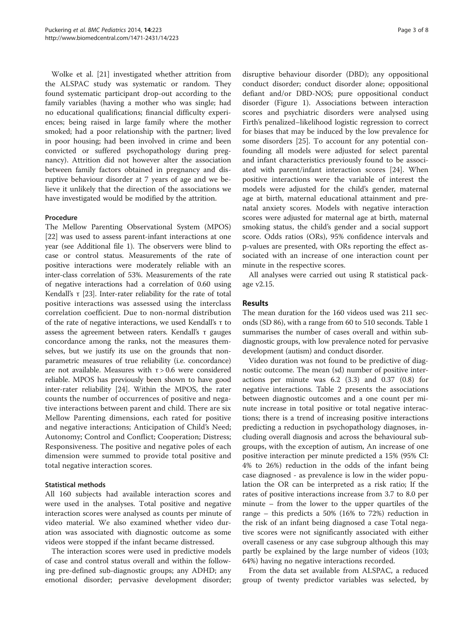Wolke et al. [[21\]](#page-7-0) investigated whether attrition from the ALSPAC study was systematic or random. They found systematic participant drop-out according to the family variables (having a mother who was single; had no educational qualifications; financial difficulty experiences; being raised in large family where the mother smoked; had a poor relationship with the partner; lived in poor housing; had been involved in crime and been convicted or suffered psychopathology during pregnancy). Attrition did not however alter the association between family factors obtained in pregnancy and disruptive behaviour disorder at 7 years of age and we believe it unlikely that the direction of the associations we have investigated would be modified by the attrition.

### Procedure

The Mellow Parenting Observational System (MPOS) [[22\]](#page-7-0) was used to assess parent-infant interactions at one year (see Additional file [1\)](#page-6-0). The observers were blind to case or control status. Measurements of the rate of positive interactions were moderately reliable with an inter-class correlation of 53%. Measurements of the rate of negative interactions had a correlation of 0.60 using Kendall's τ [[23](#page-7-0)]. Inter-rater reliability for the rate of total positive interactions was assessed using the interclass correlation coefficient. Due to non-normal distribution of the rate of negative interactions, we used Kendall's τ to assess the agreement between raters. Kendall's τ gauges concordance among the ranks, not the measures themselves, but we justify its use on the grounds that nonparametric measures of true reliability (i.e. concordance) are not available. Measures with τ > 0.6 were considered reliable. MPOS has previously been shown to have good inter-rater reliability [\[24\]](#page-7-0). Within the MPOS, the rater counts the number of occurrences of positive and negative interactions between parent and child. There are six Mellow Parenting dimensions, each rated for positive and negative interactions; Anticipation of Child's Need; Autonomy; Control and Conflict; Cooperation; Distress; Responsiveness. The positive and negative poles of each dimension were summed to provide total positive and total negative interaction scores.

### Statistical methods

All 160 subjects had available interaction scores and were used in the analyses. Total positive and negative interaction scores were analysed as counts per minute of video material. We also examined whether video duration was associated with diagnostic outcome as some videos were stopped if the infant became distressed.

The interaction scores were used in predictive models of case and control status overall and within the following pre-defined sub-diagnostic groups; any ADHD; any emotional disorder; pervasive development disorder;

disruptive behaviour disorder (DBD); any oppositional conduct disorder; conduct disorder alone; oppositional defiant and/or DBD-NOS; pure oppositional conduct disorder (Figure [1\)](#page-3-0). Associations between interaction scores and psychiatric disorders were analysed using Firth's penalized–likelihood logistic regression to correct for biases that may be induced by the low prevalence for some disorders [[25\]](#page-7-0). To account for any potential confounding all models were adjusted for select parental and infant characteristics previously found to be associated with parent/infant interaction scores [[24\]](#page-7-0). When positive interactions were the variable of interest the models were adjusted for the child's gender, maternal age at birth, maternal educational attainment and prenatal anxiety scores. Models with negative interaction scores were adjusted for maternal age at birth, maternal smoking status, the child's gender and a social support score. Odds ratios (ORs), 95% confidence intervals and p-values are presented, with ORs reporting the effect associated with an increase of one interaction count per minute in the respective scores.

All analyses were carried out using R statistical package v2.15.

## Results

The mean duration for the 160 videos used was 211 seconds (SD 86), with a range from 60 to 510 seconds. Table [1](#page-3-0) summarises the number of cases overall and within subdiagnostic groups, with low prevalence noted for pervasive development (autism) and conduct disorder.

Video duration was not found to be predictive of diagnostic outcome. The mean (sd) number of positive interactions per minute was 6.2 (3.3) and 0.37 (0.8) for negative interactions. Table [2](#page-4-0) presents the associations between diagnostic outcomes and a one count per minute increase in total positive or total negative interactions; there is a trend of increasing positive interactions predicting a reduction in psychopathology diagnoses, including overall diagnosis and across the behavioural subgroups, with the exception of autism, An increase of one positive interaction per minute predicted a 15% (95% CI: 4% to 26%) reduction in the odds of the infant being case diagnosed - as prevalence is low in the wider population the OR can be interpreted as a risk ratio; If the rates of positive interactions increase from 3.7 to 8.0 per minute – from the lower to the upper quartiles of the range – this predicts a 50% (16% to 72%) reduction in the risk of an infant being diagnosed a case Total negative scores were not significantly associated with either overall caseness or any case subgroup although this may partly be explained by the large number of videos (103; 64%) having no negative interactions recorded.

From the data set available from ALSPAC, a reduced group of twenty predictor variables was selected, by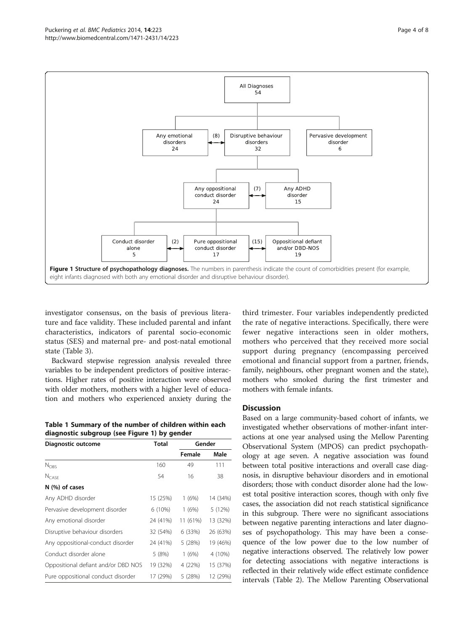<span id="page-3-0"></span>

investigator consensus, on the basis of previous literature and face validity. These included parental and infant characteristics, indicators of parental socio-economic status (SES) and maternal pre- and post-natal emotional state (Table [3\)](#page-5-0).

Backward stepwise regression analysis revealed three variables to be independent predictors of positive interactions. Higher rates of positive interaction were observed with older mothers, mothers with a higher level of education and mothers who experienced anxiety during the

Table 1 Summary of the number of children within each diagnostic subgroup (see Figure 1) by gender

| Diagnostic outcome                  | <b>Total</b> | Gender   |          |
|-------------------------------------|--------------|----------|----------|
|                                     |              | Female   | Male     |
| $N_{OBS}$                           | 160          | 49       | 111      |
| $N_{\text{CASE}}$                   | 54           | 16       | 38       |
| $N$ $(\%)$ of cases                 |              |          |          |
| Any ADHD disorder                   | 15 (25%)     | 1(6%)    | 14 (34%) |
| Pervasive development disorder      | $6(10\%)$    | 1(6%)    | 5 (12%)  |
| Any emotional disorder              | 24 (41%)     | 11 (61%) | 13 (32%) |
| Disruptive behaviour disorders      | 32 (54%)     | 6 (33%)  | 26 (63%) |
| Any oppositional-conduct disorder   | 24 (41%)     | 5(28%)   | 19 (46%) |
| Conduct disorder alone              | 5 (8%)       | 1(6%)    | 4 (10%)  |
| Oppositional defiant and/or DBD NOS | 19 (32%)     | 4 (22%)  | 15 (37%) |
| Pure oppositional conduct disorder  | 17 (29%)     | 5 (28%)  | 12 (29%) |

third trimester. Four variables independently predicted the rate of negative interactions. Specifically, there were fewer negative interactions seen in older mothers, mothers who perceived that they received more social support during pregnancy (encompassing perceived emotional and financial support from a partner, friends, family, neighbours, other pregnant women and the state), mothers who smoked during the first trimester and mothers with female infants.

## **Discussion**

Based on a large community-based cohort of infants, we investigated whether observations of mother-infant interactions at one year analysed using the Mellow Parenting Observational System (MPOS) can predict psychopathology at age seven. A negative association was found between total positive interactions and overall case diagnosis, in disruptive behaviour disorders and in emotional disorders; those with conduct disorder alone had the lowest total positive interaction scores, though with only five cases, the association did not reach statistical significance in this subgroup. There were no significant associations between negative parenting interactions and later diagnoses of psychopathology. This may have been a consequence of the low power due to the low number of negative interactions observed. The relatively low power for detecting associations with negative interactions is reflected in their relatively wide effect estimate confidence intervals (Table [2\)](#page-4-0). The Mellow Parenting Observational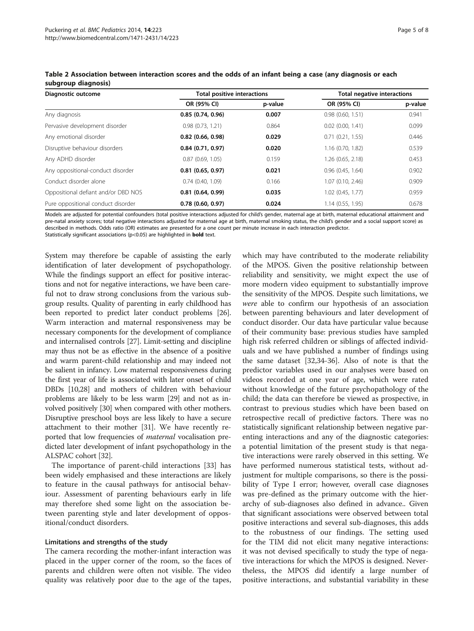| Diagnostic outcome                  | <b>Total positive interactions</b> |         | <b>Total negative interactions</b> |         |
|-------------------------------------|------------------------------------|---------|------------------------------------|---------|
|                                     | OR (95% CI)                        | p-value | OR (95% CI)                        | p-value |
| Any diagnosis                       | 0.85(0.74, 0.96)                   | 0.007   | 0.98(0.60, 1.51)                   | 0.941   |
| Pervasive development disorder      | 0.98(0.73, 1.21)                   | 0.864   | $0.02$ $(0.00, 1.41)$              | 0.099   |
| Any emotional disorder              | $0.82$ (0.66, 0.98)                | 0.029   | 0.71(0.21, 1.55)                   | 0.446   |
| Disruptive behaviour disorders      | 0.84(0.71, 0.97)                   | 0.020   | $1.16$ (0.70, 1.82)                | 0.539   |
| Any ADHD disorder                   | 0.87(0.69, 1.05)                   | 0.159   | 1.26 (0.65, 2.18)                  | 0.453   |
| Any oppositional-conduct disorder   | $0.81$ (0.65, 0.97)                | 0.021   | $0.96$ $(0.45, 1.64)$              | 0.902   |
| Conduct disorder alone              | 0.74(0.40, 1.09)                   | 0.166   | 1.07 (0.10, 2.46)                  | 0.909   |
| Oppositional defiant and/or DBD NOS | 0.81(0.64, 0.99)                   | 0.035   | $1.02$ (0.45, 1.77)                | 0.959   |
| Pure oppositional conduct disorder  | 0.78(0.60, 0.97)                   | 0.024   | 1.14 (0.55, 1.95)                  | 0.678   |

<span id="page-4-0"></span>Table 2 Association between interaction scores and the odds of an infant being a case (any diagnosis or each subgroup diagnosis)

Models are adjusted for potential confounders (total positive interactions adjusted for child's gender, maternal age at birth, maternal educational attainment and pre-natal anxiety scores; total negative interactions adjusted for maternal age at birth, maternal smoking status, the child's gender and a social support score) as described in methods. Odds ratio (OR) estimates are presented for a one count per minute increase in each interaction predictor. Statistically significant associations (p<0.05) are highlighted in **bold** text.

System may therefore be capable of assisting the early identification of later development of psychopathology. While the findings support an effect for positive interactions and not for negative interactions, we have been careful not to draw strong conclusions from the various subgroup results. Quality of parenting in early childhood has been reported to predict later conduct problems [[26](#page-7-0)]. Warm interaction and maternal responsiveness may be necessary components for the development of compliance and internalised controls [[27](#page-7-0)]. Limit-setting and discipline may thus not be as effective in the absence of a positive and warm parent-child relationship and may indeed not be salient in infancy. Low maternal responsiveness during the first year of life is associated with later onset of child DBDs [[10,28\]](#page-7-0) and mothers of children with behaviour problems are likely to be less warm [[29](#page-7-0)] and not as involved positively [\[30](#page-7-0)] when compared with other mothers. Disruptive preschool boys are less likely to have a secure attachment to their mother [[31](#page-7-0)]. We have recently reported that low frequencies of maternal vocalisation predicted later development of infant psychopathology in the ALSPAC cohort [[32](#page-7-0)].

The importance of parent-child interactions [\[33](#page-7-0)] has been widely emphasised and these interactions are likely to feature in the causal pathways for antisocial behaviour. Assessment of parenting behaviours early in life may therefore shed some light on the association between parenting style and later development of oppositional/conduct disorders.

### Limitations and strengths of the study

The camera recording the mother-infant interaction was placed in the upper corner of the room, so the faces of parents and children were often not visible. The video quality was relatively poor due to the age of the tapes, which may have contributed to the moderate reliability of the MPOS. Given the positive relationship between reliability and sensitivity, we might expect the use of more modern video equipment to substantially improve the sensitivity of the MPOS. Despite such limitations, we were able to confirm our hypothesis of an association between parenting behaviours and later development of conduct disorder. Our data have particular value because of their community base: previous studies have sampled high risk referred children or siblings of affected individuals and we have published a number of findings using the same dataset [\[32,34](#page-7-0)-[36](#page-7-0)]. Also of note is that the predictor variables used in our analyses were based on videos recorded at one year of age, which were rated without knowledge of the future psychopathology of the child; the data can therefore be viewed as prospective, in contrast to previous studies which have been based on retrospective recall of predictive factors. There was no statistically significant relationship between negative parenting interactions and any of the diagnostic categories: a potential limitation of the present study is that negative interactions were rarely observed in this setting. We have performed numerous statistical tests, without adjustment for multiple comparisons, so there is the possibility of Type I error; however, overall case diagnoses was pre-defined as the primary outcome with the hierarchy of sub-diagnoses also defined in advance.. Given that significant associations were observed between total positive interactions and several sub-diagnoses, this adds to the robustness of our findings. The setting used for the TIM did not elicit many negative interactions: it was not devised specifically to study the type of negative interactions for which the MPOS is designed. Nevertheless, the MPOS did identify a large number of positive interactions, and substantial variability in these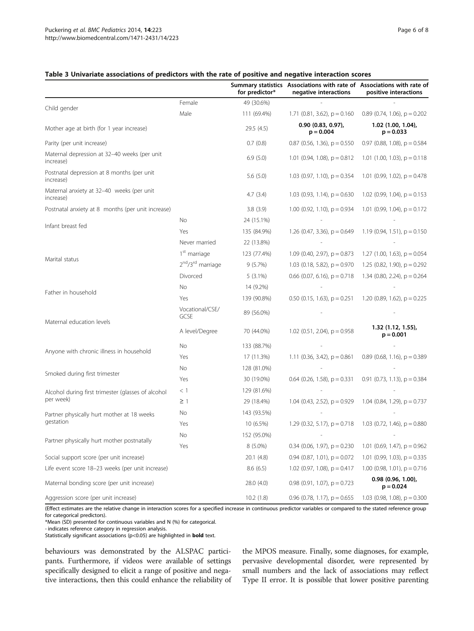#### <span id="page-5-0"></span>Table 3 Univariate associations of predictors with the rate of positive and negative interaction scores

|                                                           |                                           | for predictor* | Summary statistics Associations with rate of Associations with rate of<br>negative interactions | positive interactions                                         |
|-----------------------------------------------------------|-------------------------------------------|----------------|-------------------------------------------------------------------------------------------------|---------------------------------------------------------------|
|                                                           | Female                                    | 49 (30.6%)     |                                                                                                 |                                                               |
| Child gender                                              | Male                                      | 111 (69.4%)    | 1.71 $(0.81, 3.62)$ , p = 0.160                                                                 | $0.89$ (0.74, 1.06), $p = 0.202$                              |
| Mother age at birth (for 1 year increase)                 |                                           | 29.5 (4.5)     | $0.90$ $(0.83, 0.97)$ ,<br>$p = 0.004$                                                          | 1.02 (1.00, 1.04),<br>$p = 0.033$                             |
| Parity (per unit increase)                                |                                           | 0.7(0.8)       | $0.87$ (0.56, 1.36), $p = 0.550$                                                                | $0.97$ (0.88, 1.08), $p = 0.584$                              |
| Maternal depression at 32-40 weeks (per unit<br>increase) |                                           | 6.9(5.0)       | $1.01$ (0.94, 1.08), $p = 0.812$                                                                | $1.01$ (1.00, 1.03), $p = 0.118$                              |
| Postnatal depression at 8 months (per unit<br>increase)   |                                           | 5.6(5.0)       | $1.03$ (0.97, 1.10), $p = 0.354$                                                                | 1.01 (0.99, 1.02), $p = 0.478$                                |
| Maternal anxiety at 32-40 weeks (per unit<br>increase)    |                                           | 4.7(3.4)       | 1.03 (0.93, 1.14), $p = 0.630$                                                                  | $1.02$ (0.99, 1.04), $p = 0.153$                              |
| Postnatal anxiety at 8 months (per unit increase)         |                                           | 3.8(3.9)       | $1.00$ (0.92, 1.10), $p = 0.934$                                                                | 1.01 (0.99, 1.04), $p = 0.172$                                |
|                                                           | No                                        | 24 (15.1%)     |                                                                                                 |                                                               |
| Infant breast fed                                         | Yes                                       | 135 (84.9%)    | 1.26 (0.47, 3.36), $p = 0.649$                                                                  | 1.19 (0.94, 1.51), $p = 0.150$                                |
|                                                           | Never married                             | 22 (13.8%)     |                                                                                                 |                                                               |
|                                                           | 1 <sup>st</sup> marriage                  | 123 (77.4%)    | 1.09 (0.40, 2.97), $p = 0.873$                                                                  | $1.27$ (1.00, 1.63), $p = 0.054$                              |
| Marital status                                            | 2 <sup>nd</sup> /3 <sup>rd</sup> marriage | 9(5.7%)        | 1.03 (0.18, 5.82), $p = 0.970$                                                                  | 1.25 (0.82, 1.90), $p = 0.292$                                |
|                                                           | Divorced                                  | $5(3.1\%)$     | $0.66$ (0.07, 6.16), $p = 0.718$                                                                | 1.34 (0.80, 2.24), $p = 0.264$                                |
|                                                           | No                                        | 14 (9.2%)      |                                                                                                 |                                                               |
| Father in household                                       | Yes                                       | 139 (90.8%)    | $0.50$ (0.15, 1.63), $p = 0.251$                                                                | 1.20 $(0.89, 1.62)$ , $p = 0.225$                             |
| Maternal education levels                                 | Vocational/CSE/<br>GCSE                   | 89 (56.0%)     |                                                                                                 |                                                               |
|                                                           | A level/Degree                            | 70 (44.0%)     | $1.02$ (0.51, 2.04), $p = 0.958$                                                                | 1.32 (1.12, 1.55),<br>$p = 0.001$                             |
| Anyone with chronic illness in household                  | No                                        | 133 (88.7%)    |                                                                                                 |                                                               |
|                                                           | Yes                                       | 17 (11.3%)     | 1.11 (0.36, 3.42), $p = 0.861$                                                                  | $0.89$ (0.68, 1.16), $p = 0.389$                              |
| Smoked during first trimester                             | No                                        | 128 (81.0%)    |                                                                                                 |                                                               |
|                                                           | Yes                                       | 30 (19.0%)     | $0.64$ (0.26, 1.58), $p = 0.331$                                                                | $0.91$ (0.73, 1.13), $p = 0.384$                              |
| Alcohol during first trimester (glasses of alcohol        | $<$ 1                                     | 129 (81.6%)    |                                                                                                 |                                                               |
| per week)                                                 | $\geq$ 1                                  | 29 (18.4%)     | 1.04 $(0.43, 2.52)$ , p = 0.929                                                                 | 1.04 (0.84, 1.29), $p = 0.737$                                |
| Partner physically hurt mother at 18 weeks                | No                                        | 143 (93.5%)    |                                                                                                 |                                                               |
| gestation                                                 | Yes                                       | 10 (6.5%)      |                                                                                                 | 1.29 (0.32, 5.17), $p = 0.718$ 1.03 (0.72, 1.46), $p = 0.880$ |
| Partner physically hurt mother postnatally                | No                                        | 152 (95.0%)    |                                                                                                 |                                                               |
|                                                           | Yes                                       | $8(5.0\%)$     | $0.34$ (0.06, 1.97), $p = 0.230$                                                                | 1.01 (0.69, 1.47), $p = 0.962$                                |
| Social support score (per unit increase)                  |                                           | 20.1(4.8)      | $0.94$ (0.87, 1.01), $p = 0.072$                                                                | 1.01 (0.99, 1.03), $p = 0.335$                                |
| Life event score 18-23 weeks (per unit increase)          |                                           | 8.6(6.5)       | $1.02$ (0.97, 1.08), $p = 0.417$                                                                | 1.00 (0.98, 1.01), $p = 0.716$                                |
| Maternal bonding score (per unit increase)                |                                           | 28.0 (4.0)     | $0.98$ (0.91, 1.07), $p = 0.723$                                                                | 0.98 (0.96, 1.00),<br>$p = 0.024$                             |
| Aggression score (per unit increase)                      |                                           | 10.2(1.8)      | $0.96$ (0.78, 1.17), $p = 0.655$                                                                | 1.03 (0.98, 1.08), $p = 0.300$                                |

(Effect estimates are the relative change in interaction scores for a specified increase in continuous predictor variables or compared to the stated reference group for categorical predictors).

\*Mean (SD) presented for continuous variables and N (%) for categorical.

- indicates reference category in regression analysis.

Statistically significant associations (p<0.05) are highlighted in **bold** text.

behaviours was demonstrated by the ALSPAC participants. Furthermore, if videos were available of settings specifically designed to elicit a range of positive and negative interactions, then this could enhance the reliability of the MPOS measure. Finally, some diagnoses, for example, pervasive developmental disorder, were represented by small numbers and the lack of associations may reflect Type II error. It is possible that lower positive parenting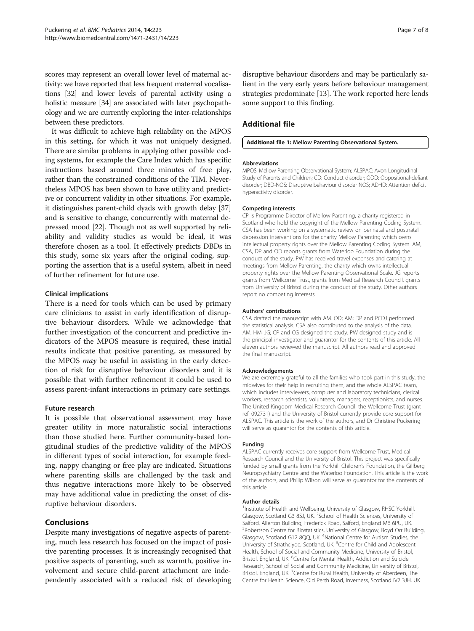<span id="page-6-0"></span>scores may represent an overall lower level of maternal activity: we have reported that less frequent maternal vocalisations [\[32\]](#page-7-0) and lower levels of parental activity using a holistic measure [\[34\]](#page-7-0) are associated with later psychopathology and we are currently exploring the inter-relationships between these predictors.

It was difficult to achieve high reliability on the MPOS in this setting, for which it was not uniquely designed. There are similar problems in applying other possible coding systems, for example the Care Index which has specific instructions based around three minutes of free play, rather than the constrained conditions of the TIM. Nevertheless MPOS has been shown to have utility and predictive or concurrent validity in other situations. For example, it distinguishes parent-child dyads with growth delay [[37](#page-7-0)] and is sensitive to change, concurrently with maternal depressed mood [\[22\]](#page-7-0). Though not as well supported by reliability and validity studies as would be ideal, it was therefore chosen as a tool. It effectively predicts DBDs in this study, some six years after the original coding, supporting the assertion that is a useful system, albeit in need of further refinement for future use.

## Clinical implications

There is a need for tools which can be used by primary care clinicians to assist in early identification of disruptive behaviour disorders. While we acknowledge that further investigation of the concurrent and predictive indicators of the MPOS measure is required, these initial results indicate that positive parenting, as measured by the MPOS may be useful in assisting in the early detection of risk for disruptive behaviour disorders and it is possible that with further refinement it could be used to assess parent-infant interactions in primary care settings.

### Future research

It is possible that observational assessment may have greater utility in more naturalistic social interactions than those studied here. Further community-based longitudinal studies of the predictive validity of the MPOS in different types of social interaction, for example feeding, nappy changing or free play are indicated. Situations where parenting skills are challenged by the task and thus negative interactions more likely to be observed may have additional value in predicting the onset of disruptive behaviour disorders.

## Conclusions

Despite many investigations of negative aspects of parenting, much less research has focused on the impact of positive parenting processes. It is increasingly recognised that positive aspects of parenting, such as warmth, positive involvement and secure child-parent attachment are independently associated with a reduced risk of developing

disruptive behaviour disorders and may be particularly salient in the very early years before behaviour management strategies predominate [\[13\]](#page-7-0). The work reported here lends some support to this finding.

## Additional file

### [Additional file 1:](http://www.biomedcentral.com/content/supplementary/1471-2431-14-223-S1.doc) Mellow Parenting Observational System.

#### Abbreviations

MPOS: Mellow Parenting Observational System; ALSPAC: Avon Longitudinal Study of Parents and Children; CD: Conduct disorder; ODD: Oppositional-defiant disorder; DBD-NOS: Disruptive behaviour disorder NOS; ADHD: Attention deficit hyperactivity disorder.

#### Competing interests

CP is Programme Director of Mellow Parenting, a charity registered in Scotland who hold the copyright of the Mellow Parenting Coding System. CSA has been working on a systematic review on perinatal and postnatal depression interventions for the charity Mellow Parenting which owns intellectual property rights over the Mellow Parenting Coding System. AM, CSA, DP and OD reports grants from Waterloo Foundation during the conduct of the study. PW has received travel expenses and catering at meetings from Mellow Parenting, the charity which owns intellectual property rights over the Mellow Parenting Observational Scale. JG reports grants from Wellcome Trust, grants from Medical Research Council, grants from University of Bristol during the conduct of the study. Other authors report no competing interests.

#### Authors' contributions

CSA drafted the manuscript with AM. OD; AM; DP and PCDJ performed the statistical analysis. CSA also contributed to the analysis of the data. AM; HM; JG; CP and CG designed the study. PW designed study and is the principal investigator and guarantor for the contents of this article. All eleven authors reviewed the manuscript. All authors read and approved the final manuscript.

#### Acknowledgements

We are extremely grateful to all the families who took part in this study, the midwives for their help in recruiting them, and the whole ALSPAC team, which includes interviewers, computer and laboratory technicians, clerical workers, research scientists, volunteers, managers, receptionists, and nurses. The United Kingdom Medical Research Council, the Wellcome Trust (grant ref: 092731) and the University of Bristol currently provide core support for ALSPAC. This article is the work of the authors, and Dr Christine Puckering will serve as guarantor for the contents of this article.

#### Funding

ALSPAC currently receives core support from Wellcome Trust, Medical Research Council and the University of Bristol. This project was specifically funded by small grants from the Yorkhill Children's Foundation, the Gillberg Neuropsychiatry Centre and the Waterloo Foundation. This article is the work of the authors, and Philip Wilson will serve as guarantor for the contents of this article.

#### Author details

<sup>1</sup>Institute of Health and Wellbeing, University of Glasgow, RHSC Yorkhill Glasgow, Scotland G3 8SJ, UK. <sup>2</sup>School of Health Sciences, University of Salford, Allerton Building, Frederick Road, Salford, England M6 6PU, UK. <sup>3</sup>Robertson Centre for Biostatistics, University of Glasgow, Boyd Orr Building, Glasgow, Scotland G12 8QQ, UK. <sup>4</sup>National Centre for Autism Studies, the University of Strathclyde, Scotland, UK.<sup>5</sup> Centre for Child and Adolescent Health, School of Social and Community Medicine, University of Bristol, Bristol, England, UK. <sup>6</sup>Centre for Mental Health, Addiction and Suicide Research, School of Social and Community Medicine, University of Bristol, Bristol, England, UK.<sup>7</sup> Centre for Rural Health, University of Aberdeen, The Centre for Health Science, Old Perth Road, Inverness, Scotland IV2 3JH, UK.